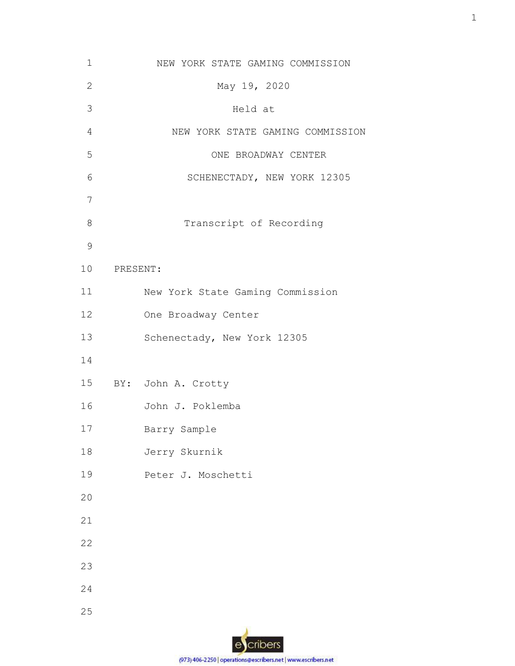|             | NEW YORK STATE GAMING COMMISSION |
|-------------|----------------------------------|
|             | May 19, 2020                     |
|             | Held at                          |
|             | NEW YORK STATE GAMING COMMISSION |
|             | ONE BROADWAY CENTER              |
|             | SCHENECTADY, NEW YORK 12305      |
|             |                                  |
|             | Transcript of Recording          |
|             |                                  |
| 10 PRESENT: |                                  |
|             | New York State Gaming Commission |
|             | One Broadway Center              |
|             | Schenectady, New York 12305      |
|             |                                  |
|             | 15 BY: John A. Crotty            |
|             | John J. Poklemba                 |
|             | Barry Sample                     |
|             | Jerry Skurnik                    |
|             | Peter J. Moschetti               |
|             |                                  |
|             |                                  |
|             |                                  |
|             |                                  |
|             |                                  |
|             |                                  |
|             |                                  |

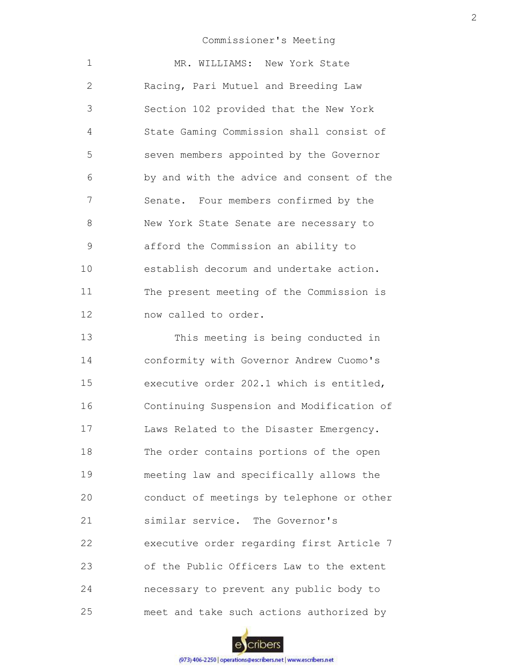| $\mathbf 1$ | MR. WILLIAMS: New York State              |
|-------------|-------------------------------------------|
| 2           | Racing, Pari Mutuel and Breeding Law      |
| 3           | Section 102 provided that the New York    |
| 4           | State Gaming Commission shall consist of  |
| 5           | seven members appointed by the Governor   |
| 6           | by and with the advice and consent of the |
| 7           | Senate. Four members confirmed by the     |
| 8           | New York State Senate are necessary to    |
| 9           | afford the Commission an ability to       |
| 10          | establish decorum and undertake action.   |
| 11          | The present meeting of the Commission is  |
| 12          | now called to order.                      |
| 13          | This meeting is being conducted in        |

14 15 16 17 18 19 20 21 22 23 24 25 conformity with Governor Andrew Cuomo's executive order 202.1 which is entitled, Continuing Suspension and Modification of Laws Related to the Disaster Emergency. The order contains portions of the open meeting law and specifically allows the conduct of meetings by telephone or other similar service. The Governor's executive order regarding first Article 7 of the Public Officers Law to the extent necessary to prevent any public body to meet and take such actions authorized by

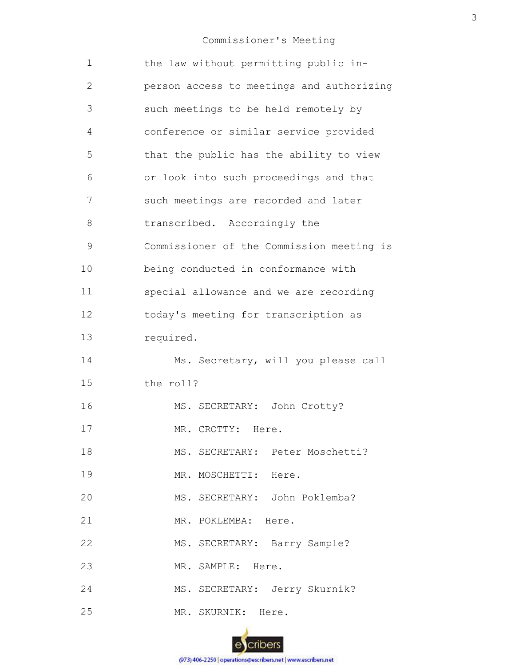| $\mathbf 1$    | the law without permitting public in-     |
|----------------|-------------------------------------------|
| $\overline{2}$ | person access to meetings and authorizing |
| 3              | such meetings to be held remotely by      |
| 4              | conference or similar service provided    |
| 5              | that the public has the ability to view   |
| 6              | or look into such proceedings and that    |
| 7              | such meetings are recorded and later      |
| 8              | transcribed. Accordingly the              |
| 9              | Commissioner of the Commission meeting is |
| 10             | being conducted in conformance with       |
| 11             | special allowance and we are recording    |
| 12             | today's meeting for transcription as      |
| 13             | required.                                 |
| 14             | Ms. Secretary, will you please call       |
| 15             | the roll?                                 |
| 16             | MS. SECRETARY: John Crotty?               |
| 17             | MR. CROTTY: Here.                         |
| 18             | MS. SECRETARY: Peter Moschetti?           |
| 19             | MR. MOSCHETTI: Here.                      |
| 20             | MS. SECRETARY: John Poklemba?             |
| 21             | MR. POKLEMBA: Here.                       |
| 22             | MS. SECRETARY: Barry Sample?              |
| 23             | MR. SAMPLE: Here.                         |
| 24             | MS. SECRETARY: Jerry Skurnik?             |
| 25             | MR. SKURNIK: Here.                        |

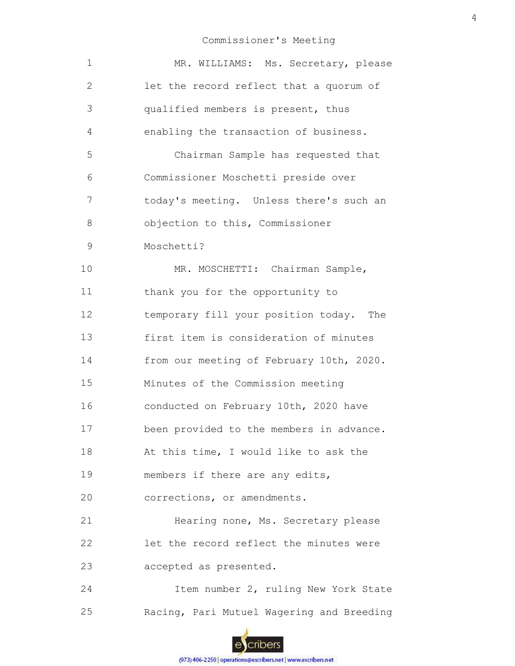| 1            | MR. WILLIAMS: Ms. Secretary, please       |
|--------------|-------------------------------------------|
| $\mathbf{2}$ | let the record reflect that a quorum of   |
| 3            | qualified members is present, thus        |
| 4            | enabling the transaction of business.     |
| 5            | Chairman Sample has requested that        |
| 6            | Commissioner Moschetti preside over       |
| 7            | today's meeting. Unless there's such an   |
| 8            | objection to this, Commissioner           |
| 9            | Moschetti?                                |
| 10           | MR. MOSCHETTI: Chairman Sample,           |
| 11           | thank you for the opportunity to          |
| 12           | temporary fill your position today. The   |
| 13           | first item is consideration of minutes    |
| 14           | from our meeting of February 10th, 2020.  |
| 15           | Minutes of the Commission meeting         |
| 16           | conducted on February 10th, 2020 have     |
| 17           | been provided to the members in advance.  |
| 18           | At this time, I would like to ask the     |
| 19           | members if there are any edits,           |
| 20           | corrections, or amendments.               |
| 21           | Hearing none, Ms. Secretary please        |
| 22           | let the record reflect the minutes were   |
| 23           | accepted as presented.                    |
| 24           | Item number 2, ruling New York State      |
| 25           | Racing, Pari Mutuel Wagering and Breeding |
|              |                                           |

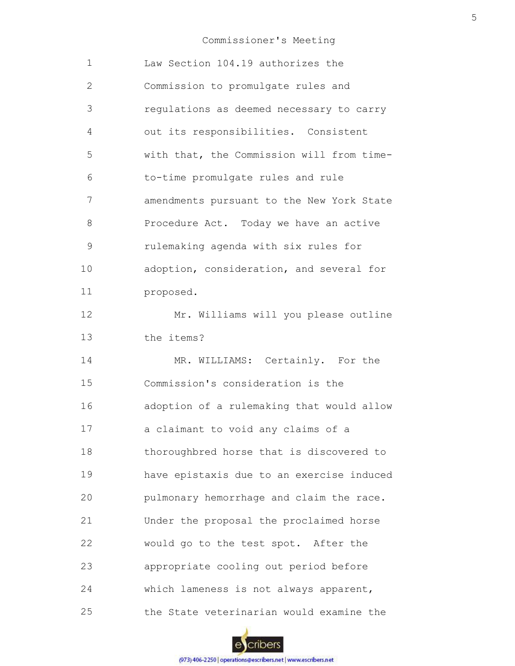| 1             | Law Section 104.19 authorizes the         |
|---------------|-------------------------------------------|
| $\mathbf{2}$  | Commission to promulgate rules and        |
| 3             | regulations as deemed necessary to carry  |
| 4             | out its responsibilities. Consistent      |
| 5             | with that, the Commission will from time- |
| 6             | to-time promulgate rules and rule         |
| 7             | amendments pursuant to the New York State |
| 8             | Procedure Act. Today we have an active    |
| $\mathcal{G}$ | rulemaking agenda with six rules for      |
| 10            | adoption, consideration, and several for  |
| 11            | proposed.                                 |
| 12            | Mr. Williams will you please outline      |
| 13            | the items?                                |
| 14            | MR. WILLIAMS: Certainly. For the          |
| 15            | Commission's consideration is the         |
| 16            | adoption of a rulemaking that would allow |
|               |                                           |
| 17            | a claimant to void any claims of a        |
| 18            | thoroughbred horse that is discovered to  |
| 19            | have epistaxis due to an exercise induced |
| 20            | pulmonary hemorrhage and claim the race.  |
| 21            | Under the proposal the proclaimed horse   |
| 22            | would go to the test spot. After the      |
| 23            | appropriate cooling out period before     |
| 24            | which lameness is not always apparent,    |

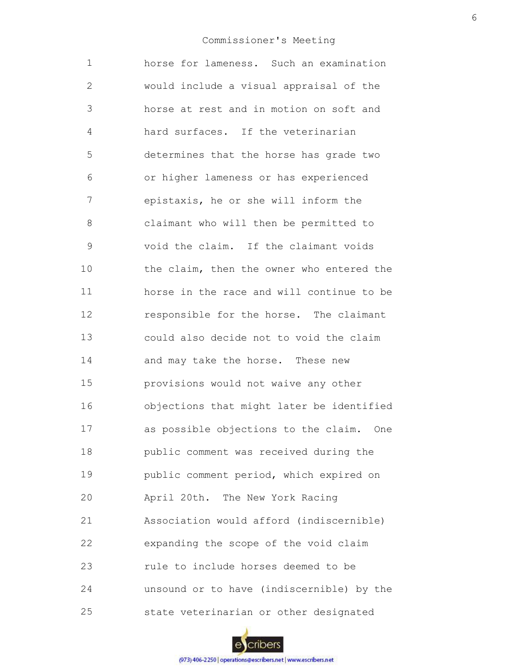1 2 3 4 5 6 7 8 9 10 11 12 13 14 15 16 17 18 19 20 21 22 23 24 25 horse for lameness. Such an examination would include a visual appraisal of the horse at rest and in motion on soft and hard surfaces. If the veterinarian determines that the horse has grade two or higher lameness or has experienced epistaxis, he or she will inform the claimant who will then be permitted to void the claim. If the claimant voids the claim, then the owner who entered the horse in the race and will continue to be responsible for the horse. The claimant could also decide not to void the claim and may take the horse. These new provisions would not waive any other objections that might later be identified as possible objections to the claim. One public comment was received during the public comment period, which expired on April 20th. The New York Racing Association would afford (indiscernible) expanding the scope of the void claim rule to include horses deemed to be unsound or to have (indiscernible) by the state veterinarian or other designated

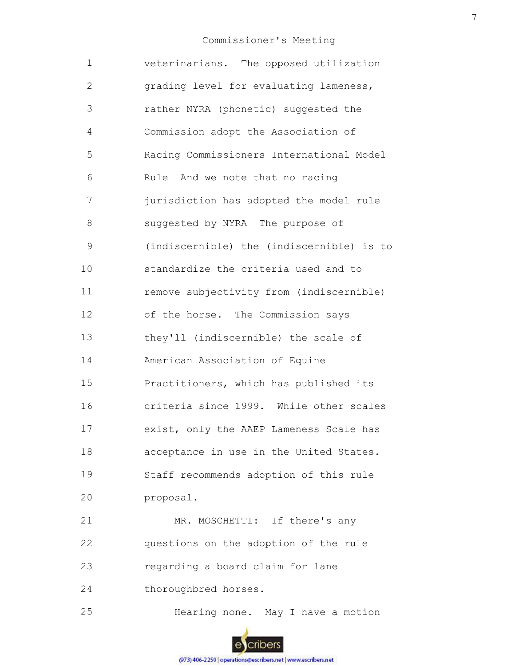| $\mathbf 1$   | veterinarians. The opposed utilization    |
|---------------|-------------------------------------------|
| 2             | grading level for evaluating lameness,    |
| 3             | rather NYRA (phonetic) suggested the      |
| 4             | Commission adopt the Association of       |
| 5             | Racing Commissioners International Model  |
| 6             | Rule And we note that no racing           |
| 7             | jurisdiction has adopted the model rule   |
| 8             | suggested by NYRA The purpose of          |
| $\mathcal{G}$ | (indiscernible) the (indiscernible) is to |
| 10            | standardize the criteria used and to      |
| 11            | remove subjectivity from (indiscernible)  |
| 12            | of the horse. The Commission says         |
| 13            | they'll (indiscernible) the scale of      |
| 14            | American Association of Equine            |
| 15            | Practitioners, which has published its    |
| 16            | criteria since 1999. While other scales   |
| 17            | exist, only the AAEP Lameness Scale has   |
| 18            | acceptance in use in the United States.   |
| 19            | Staff recommends adoption of this rule    |
| 20            | proposal.                                 |
| 21            | MR. MOSCHETTI: If there's any             |
| 22            | questions on the adoption of the rule     |
| 23            | regarding a board claim for lane          |
| 24            | thoroughbred horses.                      |
| 25            | Hearing none. May I have a motion         |
|               |                                           |

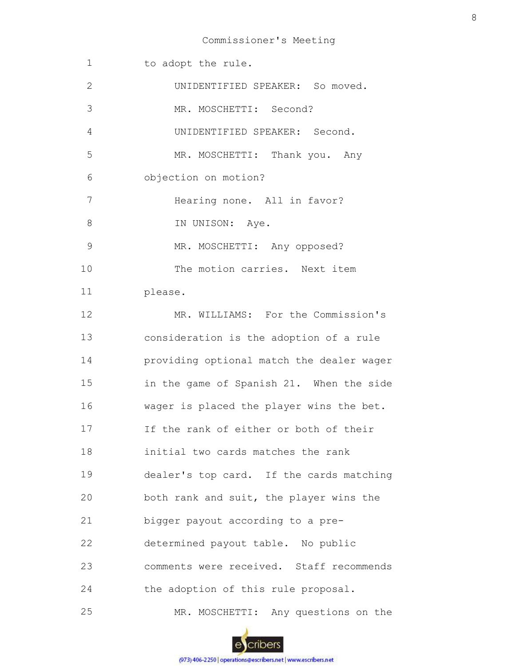| $\mathbf 1$   | to adopt the rule.                        |
|---------------|-------------------------------------------|
| $\mathbf{2}$  | UNIDENTIFIED SPEAKER: So moved.           |
| 3             | MR. MOSCHETTI: Second?                    |
| 4             | UNIDENTIFIED SPEAKER: Second.             |
| 5             | MR. MOSCHETTI: Thank you. Any             |
| 6             | objection on motion?                      |
| 7             | Hearing none. All in favor?               |
| $8\,$         | IN UNISON: Aye.                           |
| $\mathcal{G}$ | MR. MOSCHETTI: Any opposed?               |
| 10            | The motion carries. Next item             |
| 11            | please.                                   |
| 12            | MR. WILLIAMS: For the Commission's        |
| 13            | consideration is the adoption of a rule   |
| 14            | providing optional match the dealer wager |
| 15            | in the game of Spanish 21. When the side  |
| 16            | wager is placed the player wins the bet.  |
| 17            | If the rank of either or both of their    |
| 18            | initial two cards matches the rank        |
| 19            | dealer's top card. If the cards matching  |
| 20            | both rank and suit, the player wins the   |
| 21            | bigger payout according to a pre-         |
| 22            | determined payout table. No public        |
| 23            | comments were received. Staff recommends  |
| 24            | the adoption of this rule proposal.       |
| 25            | MR. MOSCHETTI: Any questions on the       |

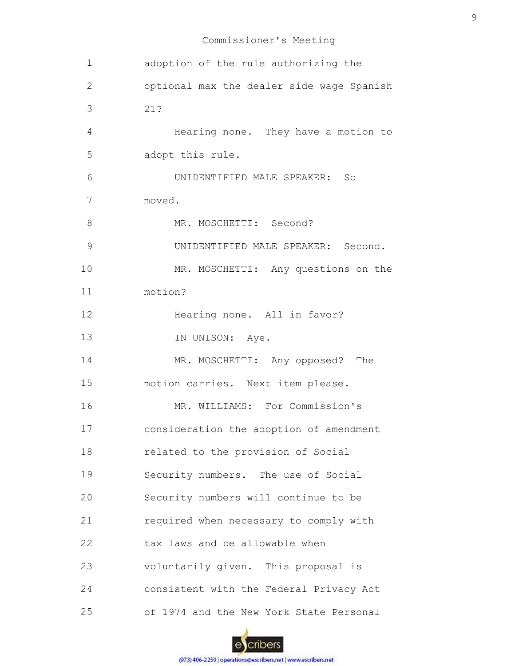| 1              | adoption of the rule authorizing the      |
|----------------|-------------------------------------------|
| $\mathbf{2}$   | optional max the dealer side wage Spanish |
| 3              | 21?                                       |
| $\overline{4}$ | Hearing none. They have a motion to       |
| 5              | adopt this rule.                          |
| 6              | UNIDENTIFIED MALE SPEAKER:<br>So          |
| 7              | moved.                                    |
| 8              | MR. MOSCHETTI: Second?                    |
| 9              | UNIDENTIFIED MALE SPEAKER: Second.        |
| 10             | MR. MOSCHETTI: Any questions on the       |
| 11             | motion?                                   |
| 12             | Hearing none. All in favor?               |
| 13             | IN UNISON: Aye.                           |
| 14             | MR. MOSCHETTI: Any opposed? The           |
| 15             | motion carries. Next item please.         |
| 16             | MR. WILLIAMS: For Commission's            |
| 17             | consideration the adoption of amendment   |
| 18             | related to the provision of Social        |
| 19             | Security numbers. The use of Social       |
| 20             | Security numbers will continue to be      |
| 21             | required when necessary to comply with    |
| 22             | tax laws and be allowable when            |
| 23             | voluntarily given. This proposal is       |
| 24             | consistent with the Federal Privacy Act   |
| 25             | of 1974 and the New York State Personal   |

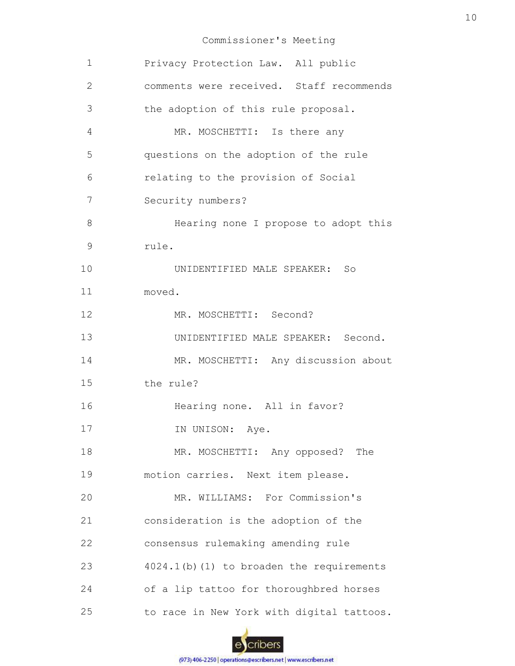| 1  | Privacy Protection Law. All public        |
|----|-------------------------------------------|
| 2  | comments were received. Staff recommends  |
| 3  | the adoption of this rule proposal.       |
| 4  | MR. MOSCHETTI: Is there any               |
| 5  | questions on the adoption of the rule     |
| 6  | relating to the provision of Social       |
| 7  | Security numbers?                         |
| 8  | Hearing none I propose to adopt this      |
| 9  | rule.                                     |
| 10 | UNIDENTIFIED MALE SPEAKER: So             |
| 11 | moved.                                    |
| 12 | MR. MOSCHETTI: Second?                    |
| 13 | UNIDENTIFIED MALE SPEAKER: Second.        |
| 14 | MR. MOSCHETTI: Any discussion about       |
| 15 | the rule?                                 |
| 16 | Hearing none. All in favor?               |
| 17 | IN UNISON: Aye.                           |
| 18 | MR. MOSCHETTI: Any opposed? The           |
| 19 | motion carries. Next item please.         |
| 20 | MR. WILLIAMS: For Commission's            |
| 21 | consideration is the adoption of the      |
| 22 | consensus rulemaking amending rule        |
| 23 | 4024.1(b)(1) to broaden the requirements  |
| 24 | of a lip tattoo for thoroughbred horses   |
| 25 | to race in New York with digital tattoos. |

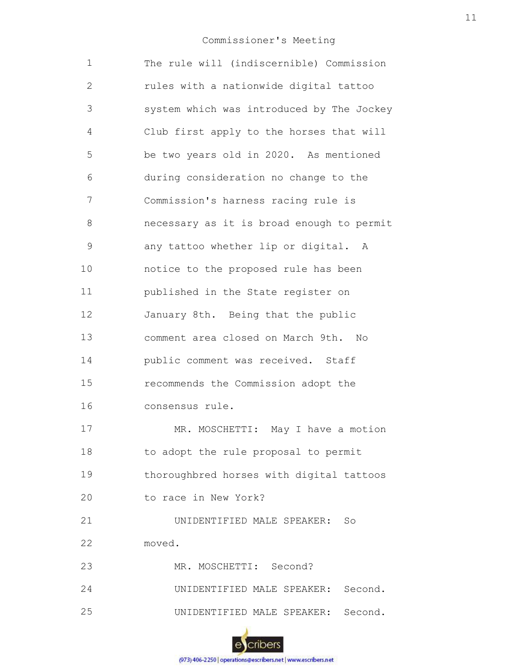| $\mathbf 1$  | The rule will (indiscernible) Commission  |
|--------------|-------------------------------------------|
| $\mathbf{2}$ | rules with a nationwide digital tattoo    |
| 3            | system which was introduced by The Jockey |
| 4            | Club first apply to the horses that will  |
| 5            | be two years old in 2020. As mentioned    |
| 6            | during consideration no change to the     |
| 7            | Commission's harness racing rule is       |
| 8            | necessary as it is broad enough to permit |
| 9            | any tattoo whether lip or digital. A      |
| 10           | notice to the proposed rule has been      |
| 11           | published in the State register on        |
| 12           | January 8th. Being that the public        |
| 13           | comment area closed on March 9th. No      |
| 14           | public comment was received. Staff        |
| 15           | recommends the Commission adopt the       |
| 16           | consensus rule.                           |
| 17           | MR. MOSCHETTI: May I have a motion        |
| 18           | to adopt the rule proposal to permit      |
| 19           | thoroughbred horses with digital tattoos  |
| 20           | to race in New York?                      |
| 21           | UNIDENTIFIED MALE SPEAKER: So             |
| 22           | moved.                                    |
| 23           | MR. MOSCHETTI: Second?                    |
| 24           | UNIDENTIFIED MALE SPEAKER: Second.        |
| 25           | UNIDENTIFIED MALE SPEAKER: Second.        |
|              |                                           |

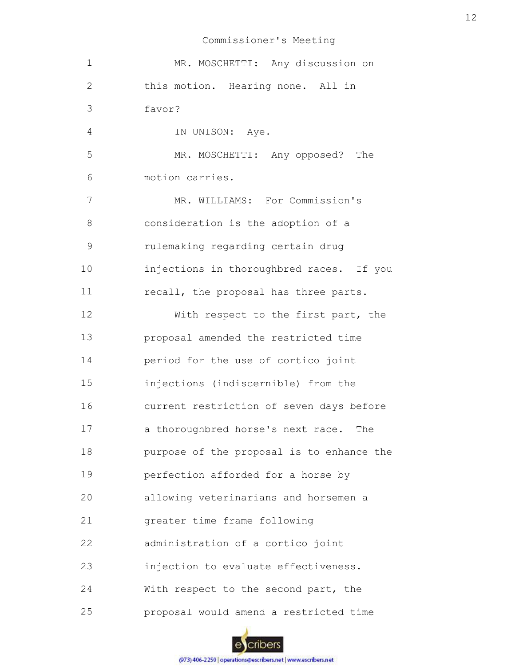| $\mathbf 1$    | MR. MOSCHETTI: Any discussion on          |
|----------------|-------------------------------------------|
| $\mathbf{2}$   | this motion. Hearing none. All in         |
| $\mathfrak{Z}$ | favor?                                    |
| $\overline{4}$ | IN UNISON: Aye.                           |
| 5              | MR. MOSCHETTI: Any opposed? The           |
| 6              | motion carries.                           |
| 7              | MR. WILLIAMS: For Commission's            |
| 8              | consideration is the adoption of a        |
| 9              | rulemaking regarding certain drug         |
| 10             | injections in thoroughbred races. If you  |
| 11             | recall, the proposal has three parts.     |
| 12             | With respect to the first part, the       |
| 13             | proposal amended the restricted time      |
| 14             | period for the use of cortico joint       |
| 15             | injections (indiscernible) from the       |
| 16             | current restriction of seven days before  |
| 17             | a thoroughbred horse's next race. The     |
| 18             | purpose of the proposal is to enhance the |
| 19             | perfection afforded for a horse by        |
| 20             | allowing veterinarians and horsemen a     |
| 21             | greater time frame following              |
| 22             | administration of a cortico joint         |
| 23             | injection to evaluate effectiveness.      |
| 24             | With respect to the second part, the      |
| 25             | proposal would amend a restricted time    |

escribers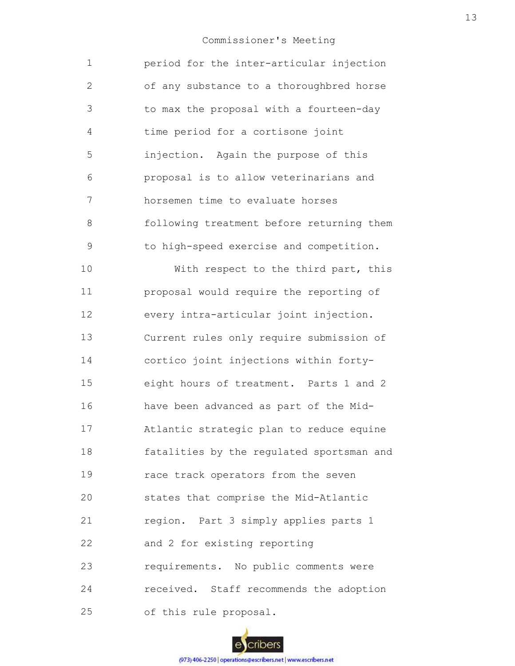| $\mathbf 1$   | period for the inter-articular injection  |
|---------------|-------------------------------------------|
| $\mathbf{2}$  | of any substance to a thoroughbred horse  |
| 3             | to max the proposal with a fourteen-day   |
| 4             | time period for a cortisone joint         |
| 5             | injection. Again the purpose of this      |
| 6             | proposal is to allow veterinarians and    |
| 7             | horsemen time to evaluate horses          |
| 8             | following treatment before returning them |
| $\mathcal{G}$ | to high-speed exercise and competition.   |
| 10            | With respect to the third part, this      |
| 11            | proposal would require the reporting of   |
| 12            | every intra-articular joint injection.    |
| 13            | Current rules only require submission of  |
| 14            | cortico joint injections within forty-    |
| 15            | eight hours of treatment. Parts 1 and 2   |
| 16            | have been advanced as part of the Mid-    |
| 17            | Atlantic strategic plan to reduce equine  |
| 18            | fatalities by the regulated sportsman and |
| 19            | race track operators from the seven       |
| 20            | states that comprise the Mid-Atlantic     |
| 21            | region. Part 3 simply applies parts 1     |
| 22            | and 2 for existing reporting              |
| 23            | requirements. No public comments were     |
| 24            | received. Staff recommends the adoption   |
| 25            | of this rule proposal.                    |

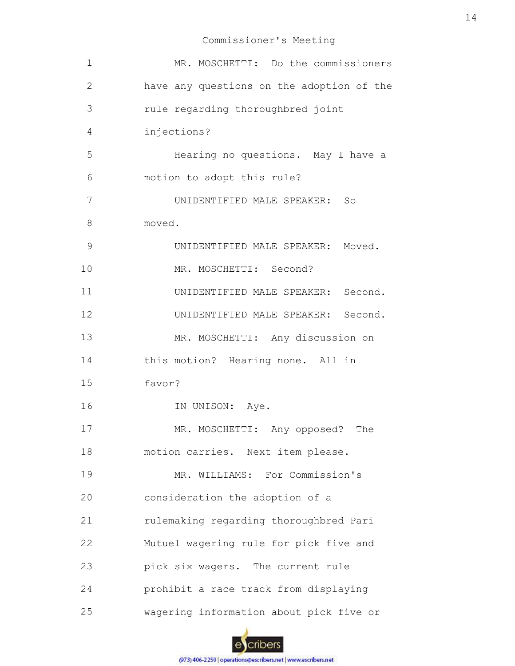| $\mathbf 1$ | MR. MOSCHETTI: Do the commissioners       |
|-------------|-------------------------------------------|
| 2           | have any questions on the adoption of the |
| 3           | rule regarding thoroughbred joint         |
| 4           | injections?                               |
| 5           | Hearing no questions. May I have a        |
| 6           | motion to adopt this rule?                |
| 7           | UNIDENTIFIED MALE SPEAKER: So             |
| 8           | moved.                                    |
| 9           | UNIDENTIFIED MALE SPEAKER: Moved.         |
| 10          | MR. MOSCHETTI: Second?                    |
| 11          | UNIDENTIFIED MALE SPEAKER: Second.        |
| 12          | UNIDENTIFIED MALE SPEAKER: Second.        |
| 13          | MR. MOSCHETTI: Any discussion on          |
| 14          | this motion? Hearing none. All in         |
| 15          | favor?                                    |
| 16          | IN UNISON: Aye.                           |
| 17          | MR. MOSCHETTI: Any opposed?<br>The        |
| 18          | motion carries. Next item please.         |
| 19          | MR. WILLIAMS: For Commission's            |
| 20          | consideration the adoption of a           |
| 21          | rulemaking regarding thoroughbred Pari    |
| 22          | Mutuel wagering rule for pick five and    |
| 23          | pick six wagers. The current rule         |
| 24          | prohibit a race track from displaying     |
| 25          | wagering information about pick five or   |

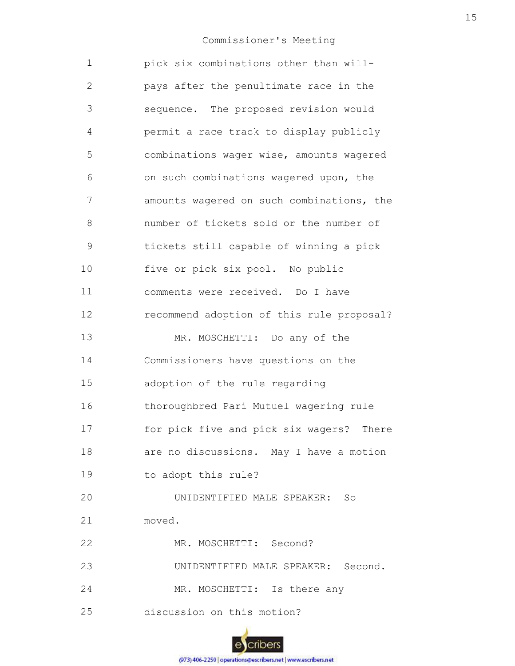| 1             | pick six combinations other than will-    |
|---------------|-------------------------------------------|
| $\mathbf{2}$  | pays after the penultimate race in the    |
| 3             | sequence. The proposed revision would     |
| 4             | permit a race track to display publicly   |
| 5             | combinations wager wise, amounts wagered  |
| 6             | on such combinations wagered upon, the    |
| 7             | amounts wagered on such combinations, the |
| 8             | number of tickets sold or the number of   |
| $\mathcal{G}$ | tickets still capable of winning a pick   |
| 10            | five or pick six pool. No public          |
| 11            | comments were received. Do I have         |
| 12            | recommend adoption of this rule proposal? |
| 13            | MR. MOSCHETTI: Do any of the              |
| 14            | Commissioners have questions on the       |
| 15            | adoption of the rule regarding            |
| 16            | thoroughbred Pari Mutuel wagering rule    |
| 17            | for pick five and pick six wagers? There  |
| 18            | are no discussions. May I have a motion   |
| 19            | to adopt this rule?                       |
| 20            | UNIDENTIFIED MALE SPEAKER: So             |
| 21            | moved.                                    |
| 22            | MR. MOSCHETTI: Second?                    |
| 23            | UNIDENTIFIED MALE SPEAKER: Second.        |
| 24            | MR. MOSCHETTI: Is there any               |
| 25            | discussion on this motion?                |

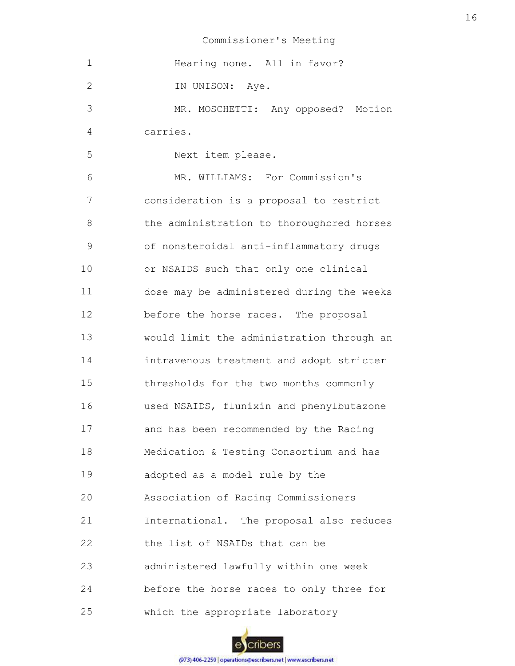| $\mathbf 1$  | Hearing none. All in favor?               |
|--------------|-------------------------------------------|
| $\mathbf{2}$ | IN UNISON: Aye.                           |
| 3            | MR. MOSCHETTI: Any opposed? Motion        |
| 4            | carries.                                  |
| 5            | Next item please.                         |
| 6            | MR. WILLIAMS: For Commission's            |
| 7            | consideration is a proposal to restrict   |
| 8            | the administration to thoroughbred horses |
| 9            | of nonsteroidal anti-inflammatory drugs   |
| 10           | or NSAIDS such that only one clinical     |
| 11           | dose may be administered during the weeks |
| 12           | before the horse races. The proposal      |
| 13           | would limit the administration through an |
| 14           | intravenous treatment and adopt stricter  |
| 15           | thresholds for the two months commonly    |
| 16           | used NSAIDS, flunixin and phenylbutazone  |
| 17           | and has been recommended by the Racing    |
| 18           | Medication & Testing Consortium and has   |
| 19           | adopted as a model rule by the            |
| 20           | Association of Racing Commissioners       |
| 21           | International. The proposal also reduces  |
| 22           | the list of NSAIDs that can be            |
| 23           | administered lawfully within one week     |
| 24           | before the horse races to only three for  |
| 25           | which the appropriate laboratory          |

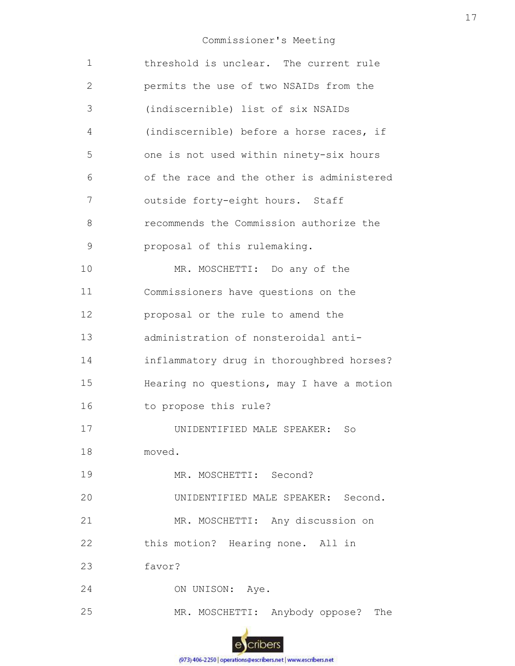| 1  | threshold is unclear. The current rule    |
|----|-------------------------------------------|
| 2  | permits the use of two NSAIDs from the    |
| 3  | (indiscernible) list of six NSAIDs        |
| 4  | (indiscernible) before a horse races, if  |
| 5  | one is not used within ninety-six hours   |
| 6  | of the race and the other is administered |
| 7  | outside forty-eight hours. Staff          |
| 8  | recommends the Commission authorize the   |
| 9  | proposal of this rulemaking.              |
| 10 | MR. MOSCHETTI: Do any of the              |
| 11 | Commissioners have questions on the       |
| 12 | proposal or the rule to amend the         |
| 13 | administration of nonsteroidal anti-      |
| 14 | inflammatory drug in thoroughbred horses? |
| 15 | Hearing no questions, may I have a motion |
| 16 | to propose this rule?                     |
| 17 | UNIDENTIFIED MALE SPEAKER:<br>So          |
| 18 | moved.                                    |
| 19 | MR. MOSCHETTI: Second?                    |
| 20 | UNIDENTIFIED MALE SPEAKER: Second.        |
| 21 | MR. MOSCHETTI: Any discussion on          |
| 22 | this motion? Hearing none. All in         |
| 23 | favor?                                    |
| 24 | ON UNISON: Aye.                           |
| 25 | MR. MOSCHETTI: Anybody oppose?<br>The     |
|    |                                           |

escribers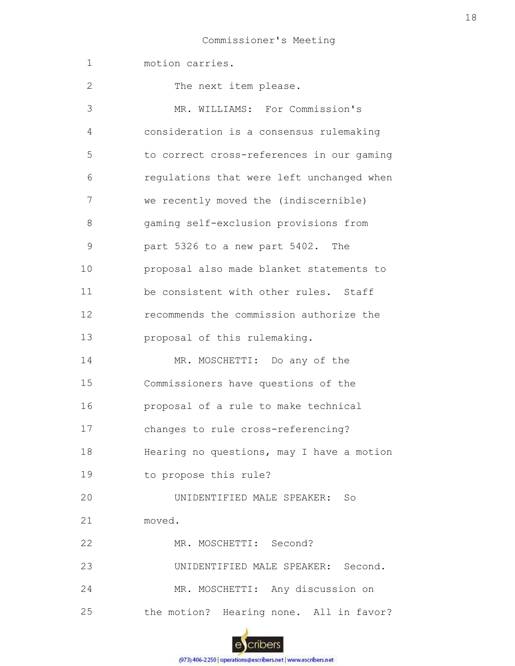| $\mathbf 1$    | motion carries.                           |
|----------------|-------------------------------------------|
| 2              | The next item please.                     |
| 3              | MR. WILLIAMS: For Commission's            |
| $\overline{4}$ | consideration is a consensus rulemaking   |
| 5              | to correct cross-references in our gaming |
| 6              | regulations that were left unchanged when |
| 7              | we recently moved the (indiscernible)     |
| 8              | gaming self-exclusion provisions from     |
| $\mathsf 9$    | part 5326 to a new part 5402. The         |
| 10             | proposal also made blanket statements to  |
| 11             | be consistent with other rules. Staff     |
| 12             | recommends the commission authorize the   |
| 13             | proposal of this rulemaking.              |
| 14             | MR. MOSCHETTI: Do any of the              |
| 15             | Commissioners have questions of the       |
| 16             | proposal of a rule to make technical      |
| 17             | changes to rule cross-referencing?        |
| 18             | Hearing no questions, may I have a motion |
| 19             | to propose this rule?                     |
| 20             | UNIDENTIFIED MALE SPEAKER: So             |
| 21             | moved.                                    |
| 22             | MR. MOSCHETTI: Second?                    |
| 23             | UNIDENTIFIED MALE SPEAKER: Second.        |
| 24             | MR. MOSCHETTI: Any discussion on          |
| 25             | the motion? Hearing none. All in favor?   |

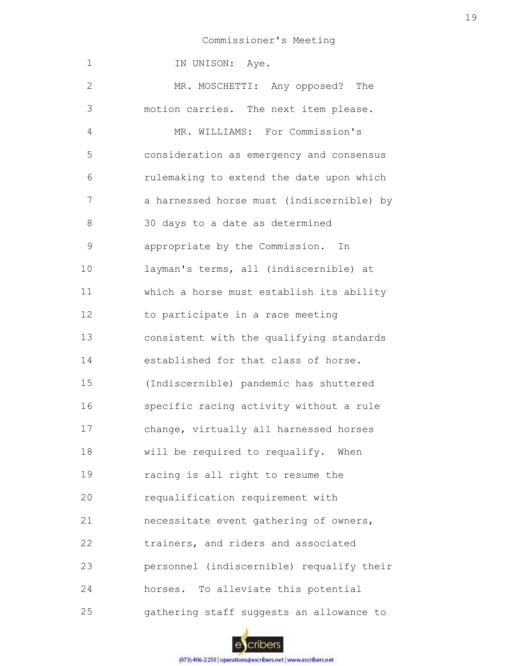| 1            | IN UNISON: Aye.                           |
|--------------|-------------------------------------------|
| $\mathbf{2}$ | MR. MOSCHETTI: Any opposed? The           |
| 3            | motion carries. The next item please.     |
| 4            | MR. WILLIAMS: For Commission's            |
| 5            | consideration as emergency and consensus  |
| 6            | rulemaking to extend the date upon which  |
| 7            | a harnessed horse must (indiscernible) by |
| 8            | 30 days to a date as determined           |
| 9            | appropriate by the Commission. In         |
| 10           | layman's terms, all (indiscernible) at    |
| 11           | which a horse must establish its ability  |
| 12           | to participate in a race meeting          |
| 13           | consistent with the qualifying standards  |
| 14           | established for that class of horse.      |
| 15           | (Indiscernible) pandemic has shuttered    |
| 16           | specific racing activity without a rule   |
| 17           | change, virtually all harnessed horses    |
| 18           | will be required to requalify. When       |
| 19           | racing is all right to resume the         |
| 20           | requalification requirement with          |
| 21           | necessitate event gathering of owners,    |
| 22           | trainers, and riders and associated       |
| 23           | personnel (indiscernible) requalify their |
| 24           | horses. To alleviate this potential       |
| 25           | gathering staff suggests an allowance to  |

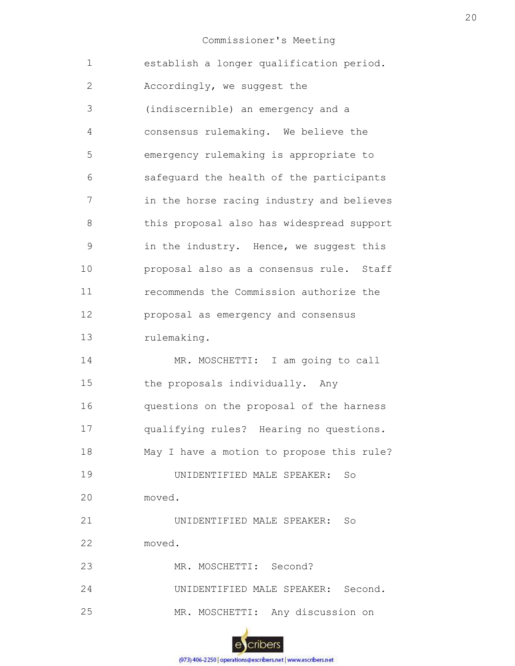| $\mathbf 1$   | establish a longer qualification period.  |
|---------------|-------------------------------------------|
| $\mathbf{2}$  | Accordingly, we suggest the               |
| 3             | (indiscernible) an emergency and a        |
| 4             | consensus rulemaking. We believe the      |
| 5             | emergency rulemaking is appropriate to    |
| 6             | safeguard the health of the participants  |
| 7             | in the horse racing industry and believes |
| 8             | this proposal also has widespread support |
| $\mathcal{G}$ | in the industry. Hence, we suggest this   |
| 10            | proposal also as a consensus rule. Staff  |
| 11            | recommends the Commission authorize the   |
| 12            | proposal as emergency and consensus       |
| 13            | rulemaking.                               |
| 14            | MR. MOSCHETTI: I am going to call         |
| 15            | the proposals individually. Any           |
| 16            | questions on the proposal of the harness  |
| 17            | qualifying rules? Hearing no questions.   |
| 18            | May I have a motion to propose this rule? |
| 19            | UNIDENTIFIED MALE SPEAKER:<br>So          |
| 20            | moved.                                    |
| 21            | UNIDENTIFIED MALE SPEAKER: So             |
| 22            | moved.                                    |
| 23            | MR. MOSCHETTI: Second?                    |
| 24            | UNIDENTIFIED MALE SPEAKER: Second.        |
| 25            | MR. MOSCHETTI: Any discussion on          |
|               |                                           |

escribers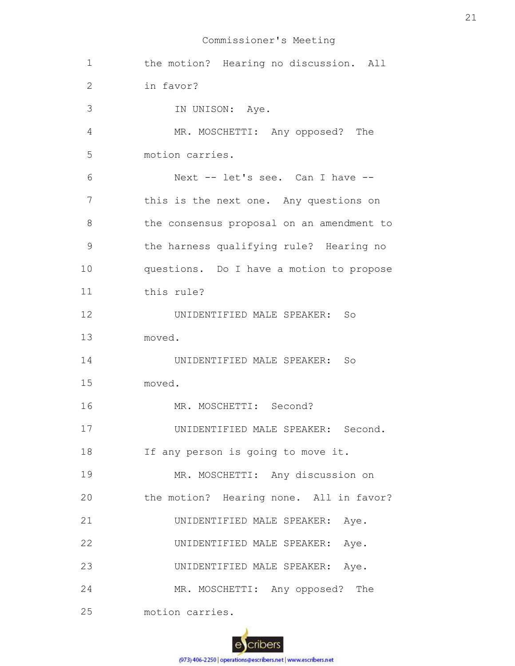| $\mathbf 1$    | the motion? Hearing no discussion. All    |
|----------------|-------------------------------------------|
| 2              | in favor?                                 |
| 3              | IN UNISON: Aye.                           |
| $\overline{4}$ | MR. MOSCHETTI: Any opposed? The           |
| 5              | motion carries.                           |
| 6              | Next -- let's see. Can I have --          |
| 7              | this is the next one. Any questions on    |
| 8              | the consensus proposal on an amendment to |
| 9              | the harness qualifying rule? Hearing no   |
| 10             | questions. Do I have a motion to propose  |
| 11             | this rule?                                |
| 12             | UNIDENTIFIED MALE SPEAKER: So             |
| 13             | moved.                                    |
| 14             | UNIDENTIFIED MALE SPEAKER:<br>So          |
| 15             | moved.                                    |
| 16             | MR. MOSCHETTI: Second?                    |
| 17             | UNIDENTIFIED MALE SPEAKER:<br>Second.     |
| 18             | If any person is going to move it.        |
| 19             | MR. MOSCHETTI: Any discussion on          |
| 20             | the motion? Hearing none. All in favor?   |
| 21             | UNIDENTIFIED MALE SPEAKER: Aye.           |
| 22             | UNIDENTIFIED MALE SPEAKER:<br>Aye.        |
| 23             | UNIDENTIFIED MALE SPEAKER:<br>Aye.        |
| 24             | MR. MOSCHETTI: Any opposed? The           |
| 25             | motion carries.                           |

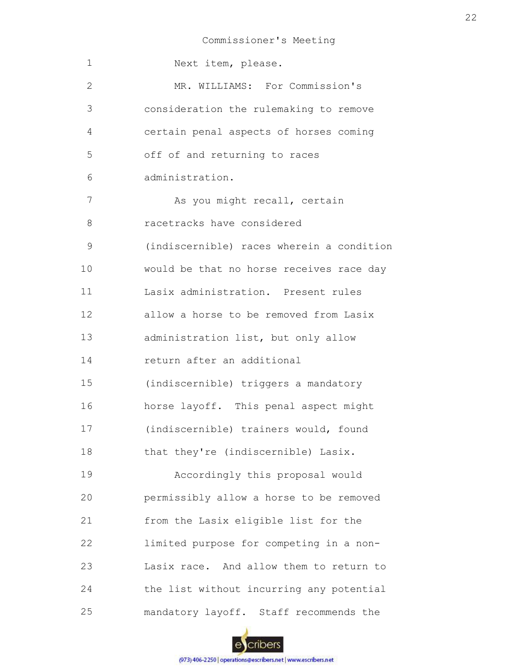1 2 3 4 5 6 7 8 9 10 11 12 13 14 15 16 17 18 19 20 21 22 23 24 25 Next item, please. MR. WILLIAMS: For Commission's consideration the rulemaking to remove certain penal aspects of horses coming off of and returning to races administration. As you might recall, certain racetracks have considered (indiscernible) races wherein a condition would be that no horse receives race day Lasix administration. Present rules allow a horse to be removed from Lasix administration list, but only allow return after an additional (indiscernible) triggers a mandatory horse layoff. This penal aspect might (indiscernible) trainers would, found that they're (indiscernible) Lasix. Accordingly this proposal would permissibly allow a horse to be removed from the Lasix eligible list for the limited purpose for competing in a non-Lasix race. And allow them to return to the list without incurring any potential mandatory layoff. Staff recommends the

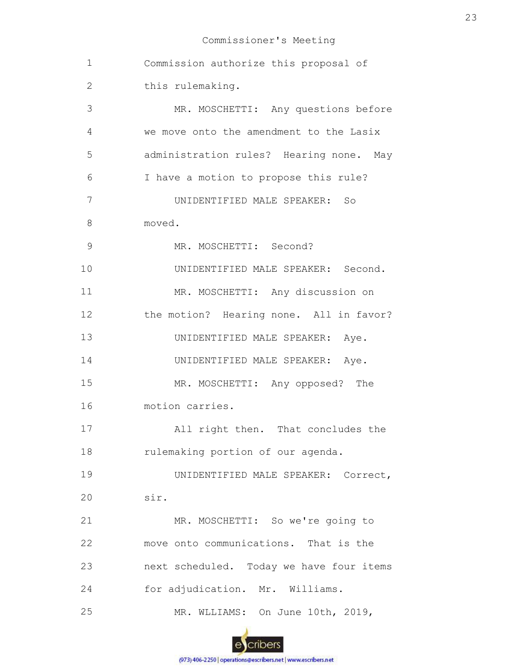| 1              | Commission authorize this proposal of    |
|----------------|------------------------------------------|
| $\mathbf{2}$   | this rulemaking.                         |
| $\mathfrak{Z}$ | MR. MOSCHETTI: Any questions before      |
| 4              | we move onto the amendment to the Lasix  |
| 5              | administration rules? Hearing none. May  |
| 6              | I have a motion to propose this rule?    |
| 7              | UNIDENTIFIED MALE SPEAKER: So            |
| 8              | moved.                                   |
| $\mathsf 9$    | MR. MOSCHETTI: Second?                   |
| 10             | UNIDENTIFIED MALE SPEAKER: Second.       |
| 11             | MR. MOSCHETTI: Any discussion on         |
| 12             | the motion? Hearing none. All in favor?  |
| 13             | UNIDENTIFIED MALE SPEAKER: Aye.          |
| 14             | UNIDENTIFIED MALE SPEAKER: Aye.          |
| 15             | MR. MOSCHETTI: Any opposed? The          |
| 16             | motion carries.                          |
| 17             | All right then. That concludes the       |
| 18             | rulemaking portion of our agenda.        |
| 19             | UNIDENTIFIED MALE SPEAKER: Correct,      |
| 20             | sir.                                     |
| 21             | MR. MOSCHETTI: So we're going to         |
| 22             | move onto communications. That is the    |
| 23             | next scheduled. Today we have four items |
| 24             | for adjudication. Mr. Williams.          |
| 25             | MR. WLLIAMS: On June 10th, 2019,         |
|                |                                          |

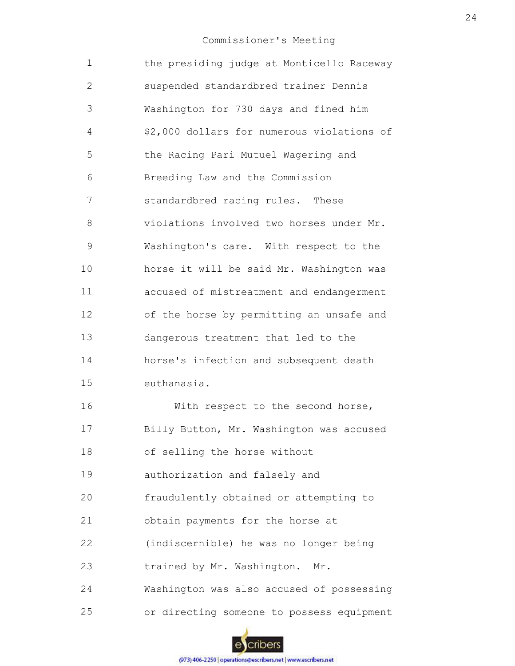| $\mathbf 1$  | the presiding judge at Monticello Raceway  |
|--------------|--------------------------------------------|
| $\mathbf{2}$ | suspended standardbred trainer Dennis      |
| 3            | Washington for 730 days and fined him      |
| 4            | \$2,000 dollars for numerous violations of |
| 5            | the Racing Pari Mutuel Wagering and        |
| 6            | Breeding Law and the Commission            |
| 7            | standardbred racing rules. These           |
| 8            | violations involved two horses under Mr.   |
| 9            | Washington's care. With respect to the     |
| 10           | horse it will be said Mr. Washington was   |
| 11           | accused of mistreatment and endangerment   |
| 12           | of the horse by permitting an unsafe and   |
| 13           | dangerous treatment that led to the        |
| 14           | horse's infection and subsequent death     |
| 15           | euthanasia.                                |
| 16           | With respect to the second horse,          |
| 17           | Billy Button, Mr. Washington was accused   |
| 18           | of selling the horse without               |
| 19           | authorization and falsely and              |
| 20           | fraudulently obtained or attempting to     |
| 21           | obtain payments for the horse at           |
| 22           | (indiscernible) he was no longer being     |
| 23           | trained by Mr. Washington. Mr.             |
| 24           | Washington was also accused of possessing  |
| 25           | or directing someone to possess equipment  |

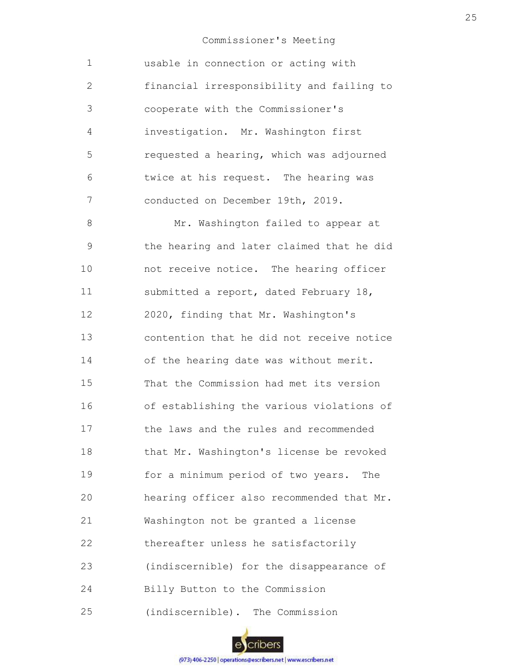| $\mathbf 1$    | usable in connection or acting with       |
|----------------|-------------------------------------------|
| $\overline{2}$ | financial irresponsibility and failing to |
| 3              | cooperate with the Commissioner's         |
| 4              | investigation. Mr. Washington first       |
| 5              | requested a hearing, which was adjourned  |
| 6              | twice at his request. The hearing was     |
| 7              | conducted on December 19th, 2019.         |
| 8              | Mr. Washington failed to appear at        |
| 9              | the hearing and later claimed that he did |
| 10             | not receive notice. The hearing officer   |
| 11             | submitted a report, dated February 18,    |
| 12             | 2020, finding that Mr. Washington's       |
| 13             | contention that he did not receive notice |
| 14             | of the hearing date was without merit.    |
| 15             | That the Commission had met its version   |
| 16             | of establishing the various violations of |
| 17             | the laws and the rules and recommended    |
| 18             | that Mr. Washington's license be revoked  |
| 19             | for a minimum period of two years. The    |
| 20             | hearing officer also recommended that Mr. |
| 21             | Washington not be granted a license       |
| 22             | thereafter unless he satisfactorily       |
| 23             | (indiscernible) for the disappearance of  |
| 24             | Billy Button to the Commission            |
| 25             | (indiscernible). The Commission           |

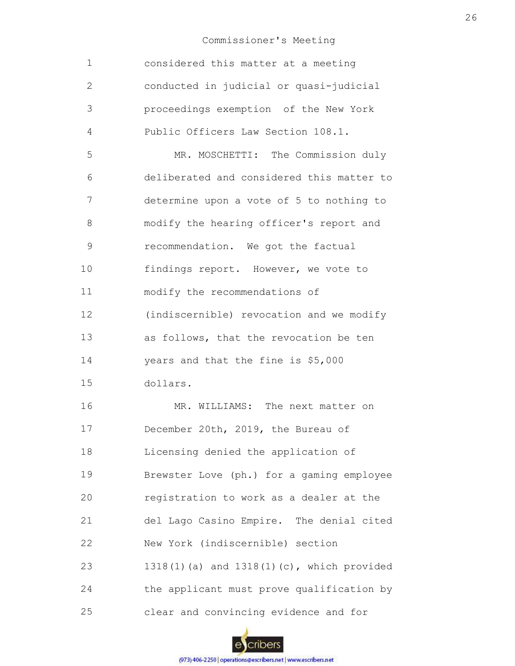| $\mathbf 1$    | considered this matter at a meeting       |
|----------------|-------------------------------------------|
| 2              | conducted in judicial or quasi-judicial   |
| 3              | proceedings exemption of the New York     |
| $\overline{4}$ | Public Officers Law Section 108.1.        |
| 5              | MR. MOSCHETTI: The Commission duly        |
| 6              | deliberated and considered this matter to |
| 7              | determine upon a vote of 5 to nothing to  |
| 8              | modify the hearing officer's report and   |
| 9              | recommendation. We got the factual        |
| 10             | findings report. However, we vote to      |
| 11             | modify the recommendations of             |
| 12             | (indiscernible) revocation and we modify  |
| 13             | as follows, that the revocation be ten    |
| 14             | years and that the fine is \$5,000        |
| 15             | dollars.                                  |
| 16             | MR. WILLIAMS: The next matter on          |
| 17             | December 20th, 2019, the Bureau of        |
| 18             | Licensing denied the application of       |
| 19             | Brewster Love (ph.) for a gaming employee |
| 20             | registration to work as a dealer at the   |
| 21             | del Lago Casino Empire. The denial cited  |
| 22             | New York (indiscernible) section          |
| 23             | 1318(1)(a) and 1318(1)(c), which provided |
| 24             | the applicant must prove qualification by |
| 25             | clear and convincing evidence and for     |

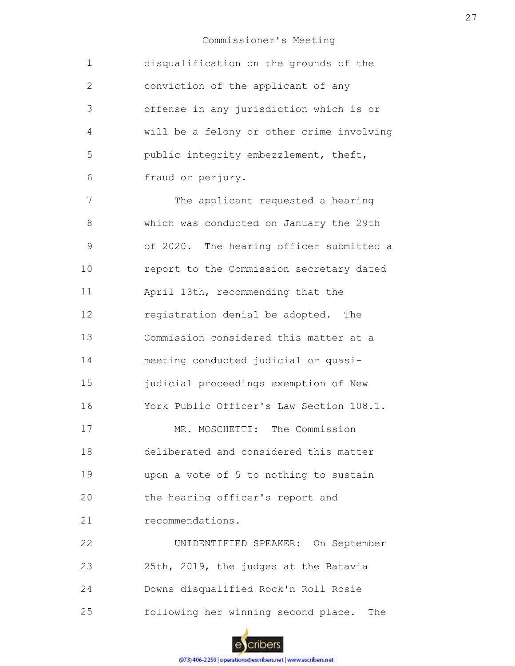| $\mathbf 1$  | disqualification on the grounds of the    |
|--------------|-------------------------------------------|
| $\mathbf{2}$ | conviction of the applicant of any        |
| 3            | offense in any jurisdiction which is or   |
| 4            | will be a felony or other crime involving |
| 5            | public integrity embezzlement, theft,     |
| 6            | fraud or perjury.                         |
| 7            | The applicant requested a hearing         |
| 8            | which was conducted on January the 29th   |
| $\mathsf 9$  | of 2020. The hearing officer submitted a  |
| 10           | report to the Commission secretary dated  |
| 11           | April 13th, recommending that the         |
| 12           | registration denial be adopted. The       |
| 13           | Commission considered this matter at a    |
| 14           | meeting conducted judicial or quasi-      |
| 15           | judicial proceedings exemption of New     |
| 16           | York Public Officer's Law Section 108.1.  |
| 17           | MR. MOSCHETTI: The Commission             |
| 18           | deliberated and considered this matter    |
| 19           | upon a vote of 5 to nothing to sustain    |
| 20           | the hearing officer's report and          |
| 21           | recommendations.                          |
| 22           | UNIDENTIFIED SPEAKER: On September        |
| 23           | 25th, 2019, the judges at the Batavia     |
| 24           | Downs disqualified Rock'n Roll Rosie      |

25 following her winning second place. The

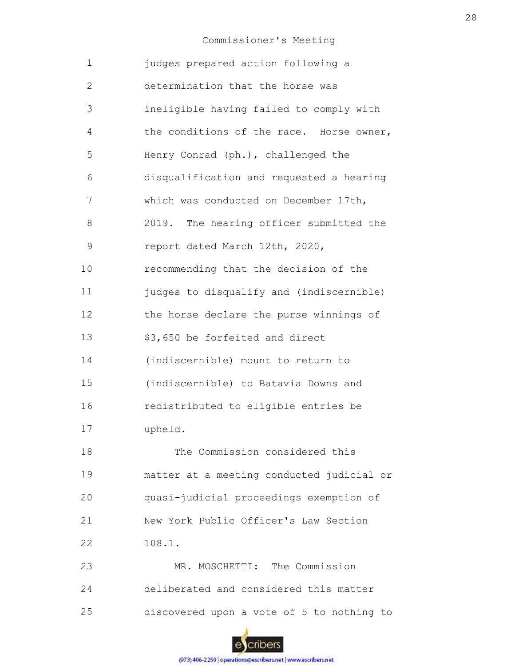| $\mathbf 1$  | judges prepared action following a        |
|--------------|-------------------------------------------|
| $\mathbf{2}$ | determination that the horse was          |
| 3            | ineligible having failed to comply with   |
| 4            | the conditions of the race. Horse owner,  |
| 5            | Henry Conrad (ph.), challenged the        |
| 6            | disqualification and requested a hearing  |
| 7            | which was conducted on December 17th,     |
| 8            | 2019. The hearing officer submitted the   |
| 9            | report dated March 12th, 2020,            |
| 10           | recommending that the decision of the     |
| 11           | judges to disqualify and (indiscernible)  |
| 12           | the horse declare the purse winnings of   |
| 13           | \$3,650 be forfeited and direct           |
| 14           | (indiscernible) mount to return to        |
| 15           | (indiscernible) to Batavia Downs and      |
| 16           | redistributed to eligible entries be      |
| 17           | upheld.                                   |
| 18           | The Commission considered this            |
| 19           | matter at a meeting conducted judicial or |
| 20           | quasi-judicial proceedings exemption of   |
| 21           | New York Public Officer's Law Section     |
| 22           | 108.1.                                    |
| 23           | MR. MOSCHETTI: The Commission             |
| 24           | deliberated and considered this matter    |
| 25           | discovered upon a vote of 5 to nothing to |

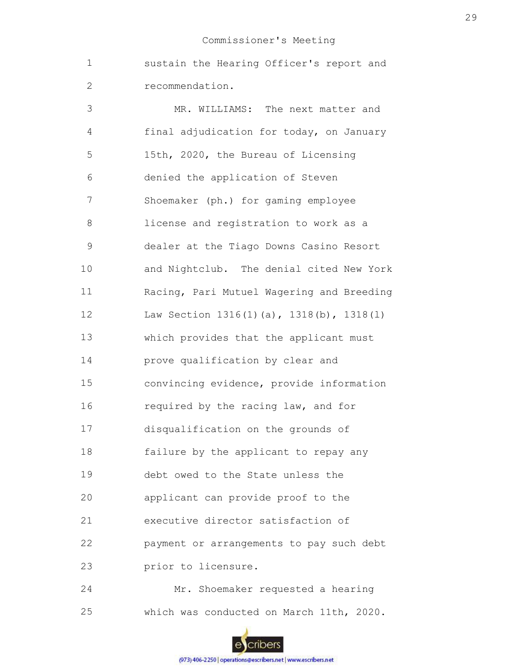1 2 sustain the Hearing Officer's report and recommendation.

3 4 5 6 7 8 9 10 11 12 13 14 15 16 17 18 19 20 21 22 23 24 MR. WILLIAMS: The next matter and final adjudication for today, on January 15th, 2020, the Bureau of Licensing denied the application of Steven Shoemaker (ph.) for gaming employee license and registration to work as a dealer at the Tiago Downs Casino Resort and Nightclub. The denial cited New York Racing, Pari Mutuel Wagering and Breeding Law Section 1316(1)(a), 1318(b), 1318(l) which provides that the applicant must prove qualification by clear and convincing evidence, provide information required by the racing law, and for disqualification on the grounds of failure by the applicant to repay any debt owed to the State unless the applicant can provide proof to the executive director satisfaction of payment or arrangements to pay such debt prior to licensure. Mr. Shoemaker requested a hearing

25 which was conducted on March 11th, 2020.

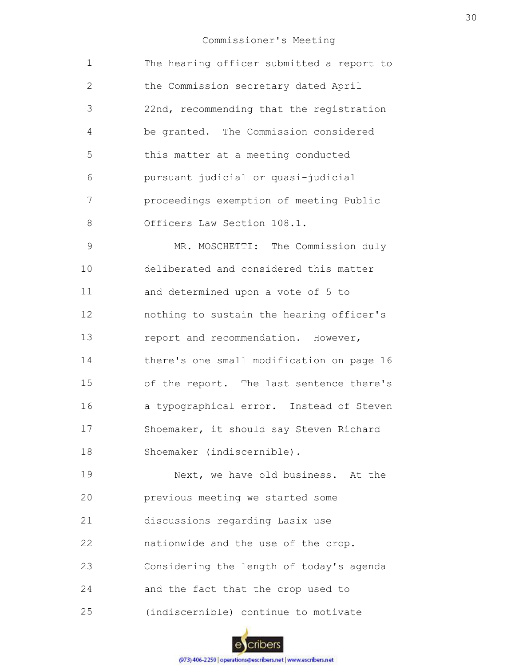| $\mathbf 1$  | The hearing officer submitted a report to |
|--------------|-------------------------------------------|
| $\mathbf{2}$ | the Commission secretary dated April      |
| 3            | 22nd, recommending that the registration  |
| 4            | be granted. The Commission considered     |
| 5            | this matter at a meeting conducted        |
| 6            | pursuant judicial or quasi-judicial       |
| 7            | proceedings exemption of meeting Public   |
| 8            | Officers Law Section 108.1.               |
| 9            | MR. MOSCHETTI: The Commission duly        |
| 10           | deliberated and considered this matter    |
| 11           | and determined upon a vote of 5 to        |
| 12           | nothing to sustain the hearing officer's  |
| 13           | report and recommendation. However,       |
| 14           | there's one small modification on page 16 |
| 15           | of the report. The last sentence there's  |
| 16           | a typographical error. Instead of Steven  |
| 17           | Shoemaker, it should say Steven Richard   |
| 18           | Shoemaker (indiscernible).                |
| 19           | Next, we have old business. At the        |
| 20           | previous meeting we started some          |
| 21           | discussions regarding Lasix use           |
| 22           | nationwide and the use of the crop.       |
| 23           | Considering the length of today's agenda  |

- 24 and the fact that the crop used to
- 25 (indiscernible) continue to motivate

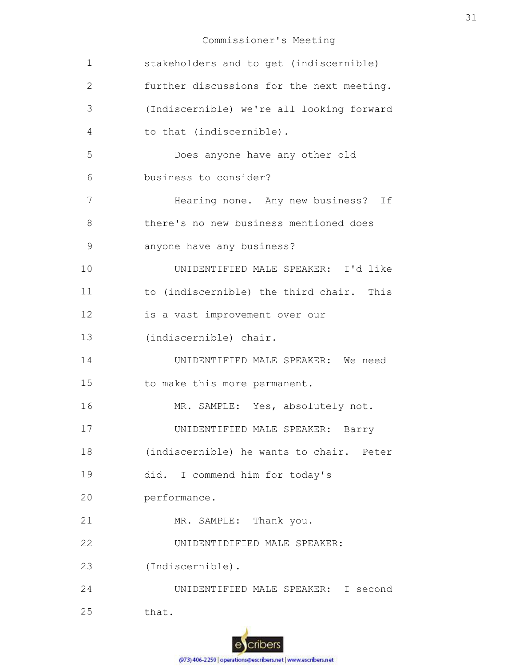| $\mathbf 1$ | stakeholders and to get (indiscernible)   |
|-------------|-------------------------------------------|
| 2           | further discussions for the next meeting. |
| 3           | (Indiscernible) we're all looking forward |
| 4           | to that (indiscernible).                  |
| 5           | Does anyone have any other old            |
| 6           | business to consider?                     |
| 7           | Hearing none. Any new business? If        |
| 8           | there's no new business mentioned does    |
| 9           | anyone have any business?                 |
| 10          | UNIDENTIFIED MALE SPEAKER: I'd like       |
| 11          | to (indiscernible) the third chair. This  |
| 12          | is a vast improvement over our            |
| 13          | (indiscernible) chair.                    |
| 14          | UNIDENTIFIED MALE SPEAKER: We need        |
| 15          | to make this more permanent.              |
| 16          | MR. SAMPLE: Yes, absolutely not.          |
| 17          | UNIDENTIFIED MALE SPEAKER:<br>Barry       |
| 18          | (indiscernible) he wants to chair. Peter  |
| 19          | did. I commend him for today's            |
| 20          | performance.                              |
| 21          | MR. SAMPLE: Thank you.                    |
| 22          | UNIDENTIDIFIED MALE SPEAKER:              |
| 23          | (Indiscernible).                          |
| 24          | UNIDENTIFIED MALE SPEAKER: I second       |
| 25          | that.                                     |

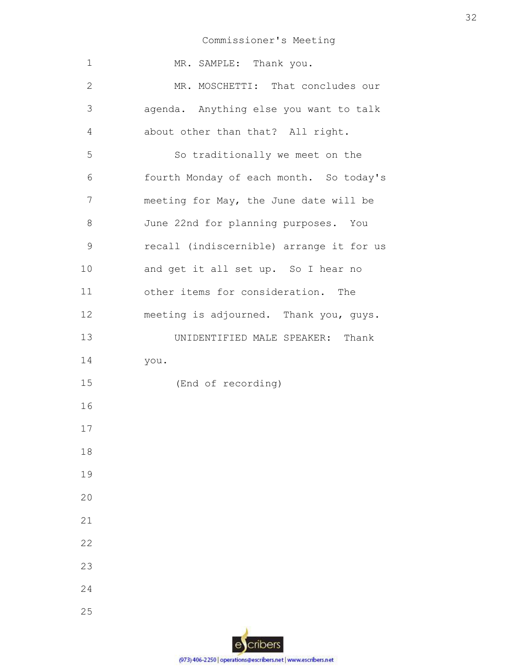| $\mathbf 1$  | MR. SAMPLE: Thank you.                   |
|--------------|------------------------------------------|
| $\mathbf{2}$ | MR. MOSCHETTI: That concludes our        |
| 3            | agenda. Anything else you want to talk   |
| 4            | about other than that? All right.        |
| 5            | So traditionally we meet on the          |
| 6            | fourth Monday of each month. So today's  |
| 7            | meeting for May, the June date will be   |
| 8            | June 22nd for planning purposes. You     |
| 9            | recall (indiscernible) arrange it for us |
| 10           | and get it all set up. So I hear no      |
| 11           | other items for consideration. The       |
| 12           | meeting is adjourned. Thank you, guys.   |
| 13           | UNIDENTIFIED MALE SPEAKER: Thank         |
| 14           | you.                                     |
| 15           | (End of recording)                       |
| 16           |                                          |
| 17           |                                          |
| 18           |                                          |
| 19           |                                          |
| 20           |                                          |
| 21           |                                          |
| 22           |                                          |
| 23           |                                          |
| 24           |                                          |
| 25           |                                          |